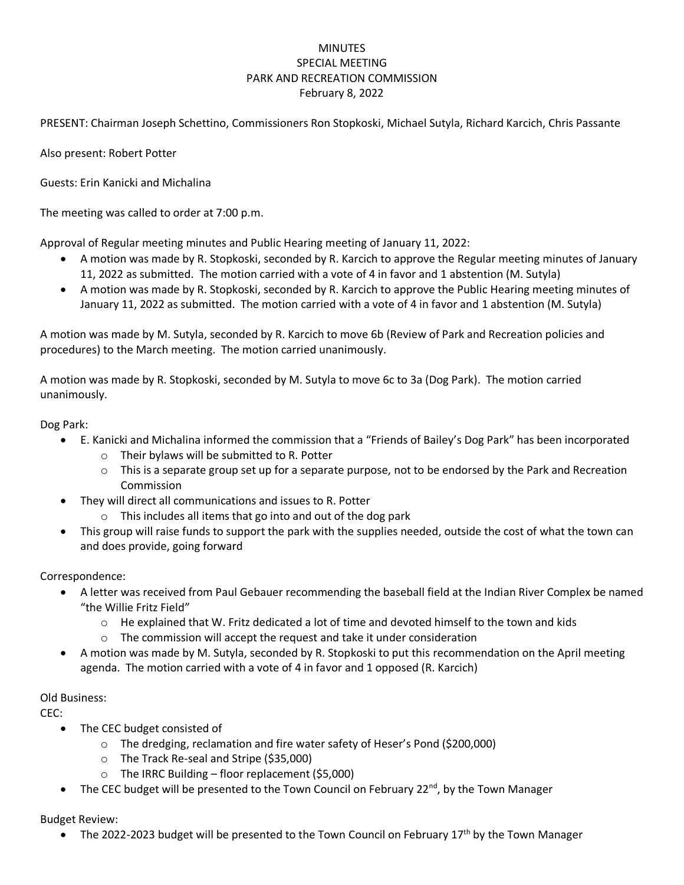## MINUTES SPECIAL MEETING PARK AND RECREATION COMMISSION February 8, 2022

PRESENT: Chairman Joseph Schettino, Commissioners Ron Stopkoski, Michael Sutyla, Richard Karcich, Chris Passante

Also present: Robert Potter

Guests: Erin Kanicki and Michalina

The meeting was called to order at 7:00 p.m.

Approval of Regular meeting minutes and Public Hearing meeting of January 11, 2022:

- A motion was made by R. Stopkoski, seconded by R. Karcich to approve the Regular meeting minutes of January 11, 2022 as submitted. The motion carried with a vote of 4 in favor and 1 abstention (M. Sutyla)
- A motion was made by R. Stopkoski, seconded by R. Karcich to approve the Public Hearing meeting minutes of January 11, 2022 as submitted. The motion carried with a vote of 4 in favor and 1 abstention (M. Sutyla)

A motion was made by M. Sutyla, seconded by R. Karcich to move 6b (Review of Park and Recreation policies and procedures) to the March meeting. The motion carried unanimously.

A motion was made by R. Stopkoski, seconded by M. Sutyla to move 6c to 3a (Dog Park). The motion carried unanimously.

Dog Park:

- E. Kanicki and Michalina informed the commission that a "Friends of Bailey's Dog Park" has been incorporated
	- o Their bylaws will be submitted to R. Potter
	- $\circ$  This is a separate group set up for a separate purpose, not to be endorsed by the Park and Recreation Commission
- They will direct all communications and issues to R. Potter
	- o This includes all items that go into and out of the dog park
- This group will raise funds to support the park with the supplies needed, outside the cost of what the town can and does provide, going forward

Correspondence:

- A letter was received from Paul Gebauer recommending the baseball field at the Indian River Complex be named "the Willie Fritz Field"
	- $\circ$  He explained that W. Fritz dedicated a lot of time and devoted himself to the town and kids
	- o The commission will accept the request and take it under consideration
- A motion was made by M. Sutyla, seconded by R. Stopkoski to put this recommendation on the April meeting agenda. The motion carried with a vote of 4 in favor and 1 opposed (R. Karcich)

## Old Business:

CEC:

- The CEC budget consisted of
	- o The dredging, reclamation and fire water safety of Heser's Pond (\$200,000)
	- o The Track Re-seal and Stripe (\$35,000)
	- o The IRRC Building floor replacement (\$5,000)
- The CEC budget will be presented to the Town Council on February 22<sup>nd</sup>, by the Town Manager

Budget Review:

• The 2022-2023 budget will be presented to the Town Council on February 17<sup>th</sup> by the Town Manager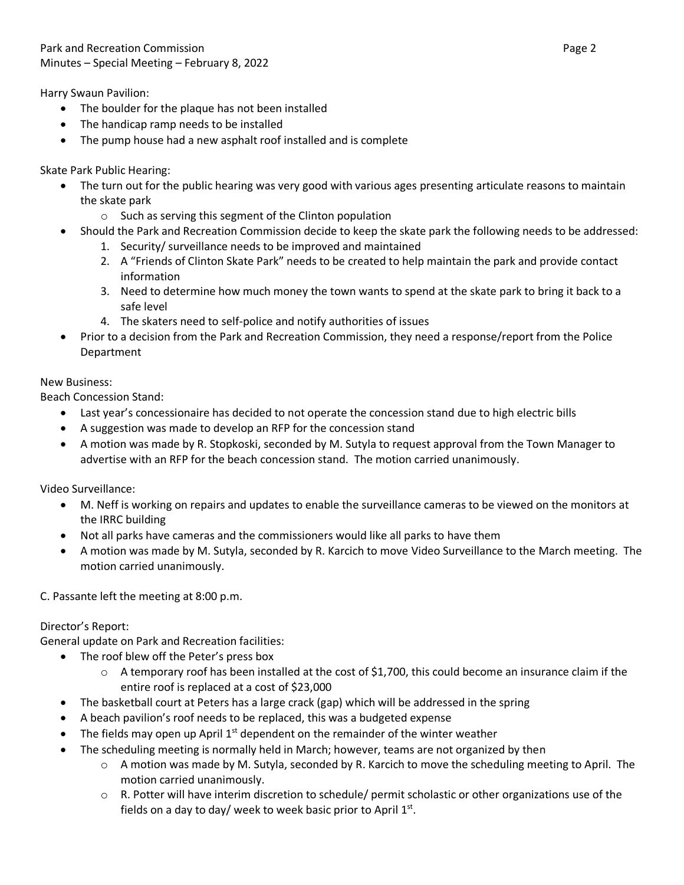Harry Swaun Pavilion:

- The boulder for the plaque has not been installed
- The handicap ramp needs to be installed
- The pump house had a new asphalt roof installed and is complete

Skate Park Public Hearing:

- The turn out for the public hearing was very good with various ages presenting articulate reasons to maintain the skate park
	- o Such as serving this segment of the Clinton population
- Should the Park and Recreation Commission decide to keep the skate park the following needs to be addressed:
	- 1. Security/ surveillance needs to be improved and maintained
	- 2. A "Friends of Clinton Skate Park" needs to be created to help maintain the park and provide contact information
	- 3. Need to determine how much money the town wants to spend at the skate park to bring it back to a safe level
	- 4. The skaters need to self-police and notify authorities of issues
- Prior to a decision from the Park and Recreation Commission, they need a response/report from the Police Department

## New Business:

Beach Concession Stand:

- Last year's concessionaire has decided to not operate the concession stand due to high electric bills
- A suggestion was made to develop an RFP for the concession stand
- A motion was made by R. Stopkoski, seconded by M. Sutyla to request approval from the Town Manager to advertise with an RFP for the beach concession stand. The motion carried unanimously.

Video Surveillance:

- M. Neff is working on repairs and updates to enable the surveillance cameras to be viewed on the monitors at the IRRC building
- Not all parks have cameras and the commissioners would like all parks to have them
- A motion was made by M. Sutyla, seconded by R. Karcich to move Video Surveillance to the March meeting. The motion carried unanimously.

C. Passante left the meeting at 8:00 p.m.

## Director's Report:

General update on Park and Recreation facilities:

- The roof blew off the Peter's press box
	- $\circ$  A temporary roof has been installed at the cost of \$1,700, this could become an insurance claim if the entire roof is replaced at a cost of \$23,000
- The basketball court at Peters has a large crack (gap) which will be addressed in the spring
- A beach pavilion's roof needs to be replaced, this was a budgeted expense
- The fields may open up April  $1<sup>st</sup>$  dependent on the remainder of the winter weather
- The scheduling meeting is normally held in March; however, teams are not organized by then
	- $\circ$  A motion was made by M. Sutyla, seconded by R. Karcich to move the scheduling meeting to April. The motion carried unanimously.
	- $\circ$  R. Potter will have interim discretion to schedule/ permit scholastic or other organizations use of the fields on a day to day/ week to week basic prior to April  $1<sup>st</sup>$ .